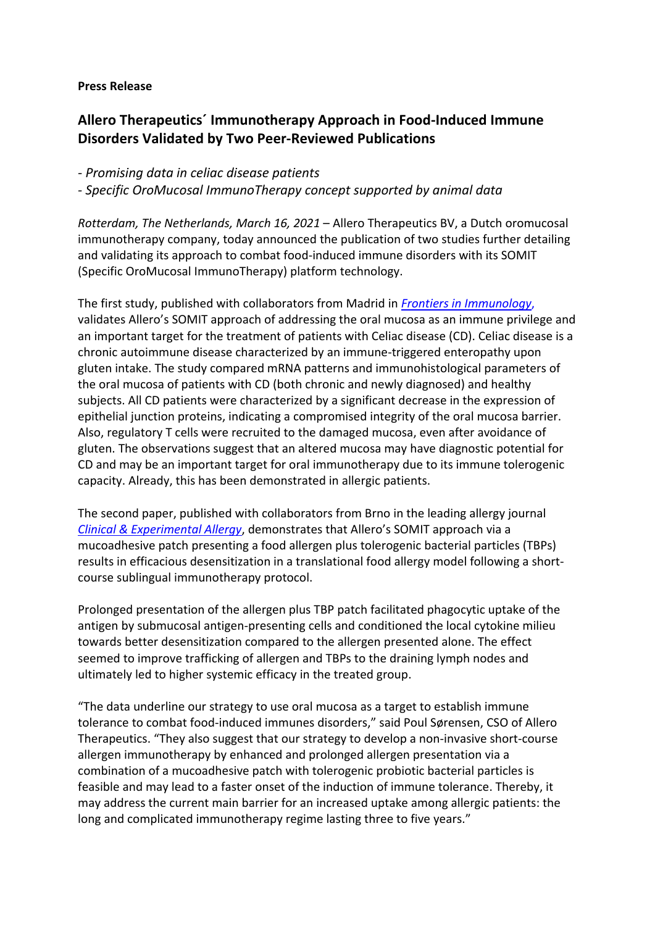### **Press Release**

# **Allero Therapeutics´ Immunotherapy Approach in Food-Induced Immune Disorders Validated by Two Peer-Reviewed Publications**

*- Promising data in celiac disease patients*

*- Specific OroMucosal ImmunoTherapy concept supported by animal data*

*Rotterdam, The Netherlands, March 16, 2021* – Allero Therapeutics BV, a Dutch oromucosal immunotherapy company, today announced the publication of two studies further detailing and validating its approach to combat food-induced immune disorders with its SOMIT (Specific OroMucosal ImmunoTherapy) platform technology.

The first study, published with collaborators from Madrid in *[Frontiers in Immunology](https://www.frontiersin.org/articles/10.3389/fimmu.2021.623805/full)*, validates Allero's SOMIT approach of addressing the oral mucosa as an immune privilege and an important target for the treatment of patients with Celiac disease (CD). Celiac disease is a chronic autoimmune disease characterized by an immune-triggered enteropathy upon gluten intake. The study compared mRNA patterns and immunohistological parameters of the oral mucosa of patients with CD (both chronic and newly diagnosed) and healthy subjects. All CD patients were characterized by a significant decrease in the expression of epithelial junction proteins, indicating a compromised integrity of the oral mucosa barrier. Also, regulatory T cells were recruited to the damaged mucosa, even after avoidance of gluten. The observations suggest that an altered mucosa may have diagnostic potential for CD and may be an important target for oral immunotherapy due to its immune tolerogenic capacity. Already, this has been demonstrated in allergic patients.

The second paper, published with collaborators from Brno in the leading allergy journal *[Clinical & Experimental Allergy](https://onlinelibrary.wiley.com/doi/abs/10.1111/cea.13862)*, demonstrates that Allero's SOMIT approach via a mucoadhesive patch presenting a food allergen plus tolerogenic bacterial particles (TBPs) results in efficacious desensitization in a translational food allergy model following a shortcourse sublingual immunotherapy protocol.

Prolonged presentation of the allergen plus TBP patch facilitated phagocytic uptake of the antigen by submucosal antigen-presenting cells and conditioned the local cytokine milieu towards better desensitization compared to the allergen presented alone. The effect seemed to improve trafficking of allergen and TBPs to the draining lymph nodes and ultimately led to higher systemic efficacy in the treated group.

"The data underline our strategy to use oral mucosa as a target to establish immune tolerance to combat food-induced immunes disorders," said Poul Sørensen, CSO of Allero Therapeutics. "They also suggest that our strategy to develop a non-invasive short-course allergen immunotherapy by enhanced and prolonged allergen presentation via a combination of a mucoadhesive patch with tolerogenic probiotic bacterial particles is feasible and may lead to a faster onset of the induction of immune tolerance. Thereby, it may address the current main barrier for an increased uptake among allergic patients: the long and complicated immunotherapy regime lasting three to five years."